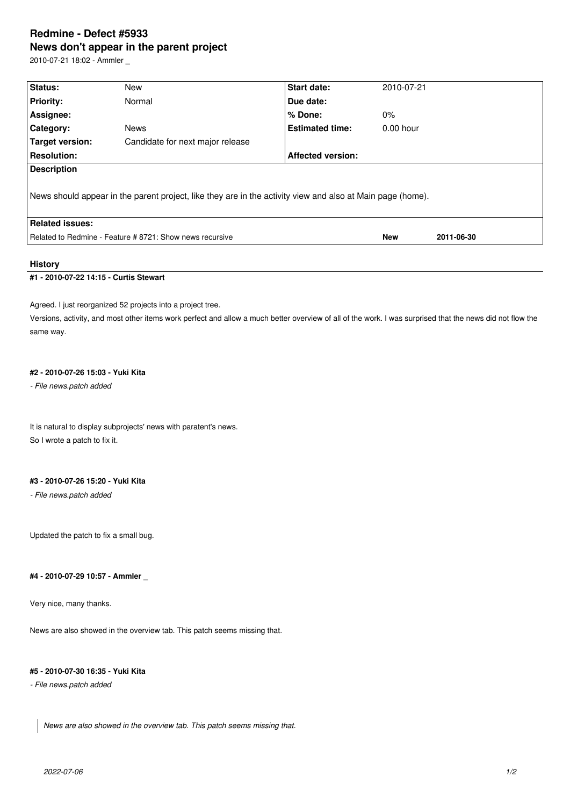# **Redmine - Defect #5933 News don't appear in the parent project**

2010-07-21 18:02 - Ammler \_

| Status:                                                                                                    | New                                                      | <b>Start date:</b>       | 2010-07-21  |            |  |  |  |
|------------------------------------------------------------------------------------------------------------|----------------------------------------------------------|--------------------------|-------------|------------|--|--|--|
| <b>Priority:</b>                                                                                           | Normal                                                   | Due date:                |             |            |  |  |  |
| Assignee:                                                                                                  |                                                          | % Done:                  | $0\%$       |            |  |  |  |
| <b>Category:</b>                                                                                           | <b>News</b>                                              | <b>Estimated time:</b>   | $0.00$ hour |            |  |  |  |
| Target version:                                                                                            | Candidate for next major release                         |                          |             |            |  |  |  |
| <b>Resolution:</b>                                                                                         |                                                          | <b>Affected version:</b> |             |            |  |  |  |
| <b>Description</b>                                                                                         |                                                          |                          |             |            |  |  |  |
| News should appear in the parent project, like they are in the activity view and also at Main page (home). |                                                          |                          |             |            |  |  |  |
| <b>Related issues:</b>                                                                                     |                                                          |                          |             |            |  |  |  |
|                                                                                                            | Related to Redmine - Feature # 8721: Show news recursive |                          | <b>New</b>  | 2011-06-30 |  |  |  |
|                                                                                                            |                                                          |                          |             |            |  |  |  |

#### **History**

# **#1 - 2010-07-22 14:15 - Curtis Stewart**

Agreed. I just reorganized 52 projects into a project tree.

Versions, activity, and most other items work perfect and allow a much better overview of all of the work. I was surprised that the news did not flow the same way.

#### **#2 - 2010-07-26 15:03 - Yuki Kita**

*- File news.patch added*

It is natural to display subprojects' news with paratent's news. So I wrote a patch to fix it.

#### **#3 - 2010-07-26 15:20 - Yuki Kita**

*- File news.patch added*

Updated the patch to fix a small bug.

#### **#4 - 2010-07-29 10:57 - Ammler \_**

Very nice, many thanks.

News are also showed in the overview tab. This patch seems missing that.

# **#5 - 2010-07-30 16:35 - Yuki Kita**

*- File news.patch added*

*News are also showed in the overview tab. This patch seems missing that.*